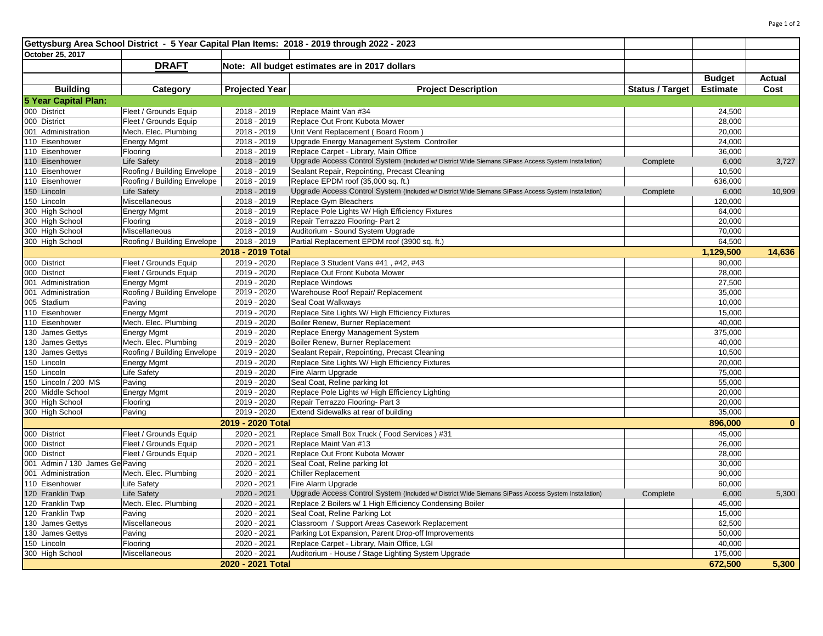| Gettysburg Area School District - 5 Year Capital Plan Items: 2018 - 2019 through 2022 - 2023 |                             |                                                |                                                                                                     |                 |                    |               |  |  |  |  |  |
|----------------------------------------------------------------------------------------------|-----------------------------|------------------------------------------------|-----------------------------------------------------------------------------------------------------|-----------------|--------------------|---------------|--|--|--|--|--|
| October 25, 2017                                                                             |                             |                                                |                                                                                                     |                 |                    |               |  |  |  |  |  |
|                                                                                              | <b>DRAFT</b>                | Note: All budget estimates are in 2017 dollars |                                                                                                     |                 |                    |               |  |  |  |  |  |
|                                                                                              |                             |                                                |                                                                                                     |                 | <b>Budget</b>      | <b>Actual</b> |  |  |  |  |  |
| <b>Building</b>                                                                              | Category                    | <b>Projected Year</b>                          | <b>Project Description</b>                                                                          | Status / Target | <b>Estimate</b>    | Cost          |  |  |  |  |  |
| 5 Year Capital Plan:                                                                         |                             |                                                |                                                                                                     |                 |                    |               |  |  |  |  |  |
| 000 District                                                                                 | Fleet / Grounds Equip       | 2018 - 2019                                    | Replace Maint Van #34                                                                               |                 | 24,500             |               |  |  |  |  |  |
| 000 District                                                                                 | Fleet / Grounds Equip       | 2018 - 2019                                    | Replace Out Front Kubota Mower                                                                      |                 | 28,000             |               |  |  |  |  |  |
| 001 Administration                                                                           | Mech. Elec. Plumbing        | 2018 - 2019                                    | Unit Vent Replacement (Board Room)                                                                  |                 | 20,000             |               |  |  |  |  |  |
| 110 Eisenhower                                                                               | <b>Energy Mgmt</b>          | 2018 - 2019                                    | Upgrade Energy Management System Controller                                                         |                 | 24,000             |               |  |  |  |  |  |
| 110 Eisenhower                                                                               | Flooring                    | 2018 - 2019                                    | Replace Carpet - Library, Main Office                                                               |                 | 36,000             |               |  |  |  |  |  |
| 110 Eisenhower                                                                               | <b>Life Safety</b>          | 2018 - 2019                                    | Upgrade Access Control System (Included w/ District Wide Siemans SiPass Access System Installation) | Complete        | 6,000              | 3,727         |  |  |  |  |  |
| 110 Eisenhower                                                                               | Roofing / Building Envelope | 2018 - 2019                                    | Sealant Repair, Repointing, Precast Cleaning                                                        |                 | 10,500             |               |  |  |  |  |  |
| 110 Eisenhower                                                                               | Roofing / Building Envelope | 2018 - 2019                                    | Replace EPDM roof (35,000 sq. ft.)                                                                  |                 | 636,000            |               |  |  |  |  |  |
| 150 Lincoln                                                                                  | <b>Life Safety</b>          | 2018 - 2019                                    | Upgrade Access Control System (Included w/ District Wide Siemans SiPass Access System Installation) | Complete        | 6,000              | 10,909        |  |  |  |  |  |
| 150 Lincoln                                                                                  | Miscellaneous               | 2018 - 2019                                    | Replace Gym Bleachers                                                                               |                 | 120,000            |               |  |  |  |  |  |
| 300 High School                                                                              | <b>Energy Mgmt</b>          | 2018 - 2019                                    | Replace Pole Lights W/ High Efficiency Fixtures                                                     |                 | 64,000             |               |  |  |  |  |  |
| 300 High School                                                                              | Flooring                    | 2018 - 2019                                    | Repair Terrazzo Flooring- Part 2                                                                    |                 | 20,000             |               |  |  |  |  |  |
| 300 High School                                                                              | Miscellaneous               | 2018 - 2019                                    | Auditorium - Sound System Upgrade                                                                   |                 | 70,000             |               |  |  |  |  |  |
| 300 High School                                                                              |                             | 2018 - 2019                                    | Partial Replacement EPDM roof (3900 sq. ft.)                                                        |                 | 64,500             |               |  |  |  |  |  |
|                                                                                              | Roofing / Building Envelope | 2018 - 2019 Total                              |                                                                                                     |                 | 1,129,500          | 14,636        |  |  |  |  |  |
|                                                                                              |                             |                                                |                                                                                                     |                 |                    |               |  |  |  |  |  |
| 000 District                                                                                 | Fleet / Grounds Equip       | 2019 - 2020                                    | Replace 3 Student Vans #41, #42, #43                                                                |                 | 90,000             |               |  |  |  |  |  |
| 000 District                                                                                 | Fleet / Grounds Equip       | 2019 - 2020                                    | Replace Out Front Kubota Mower                                                                      |                 | 28,000             |               |  |  |  |  |  |
| 001 Administration                                                                           | <b>Energy Mgmt</b>          | 2019 - 2020                                    | Replace Windows                                                                                     |                 | 27,500             |               |  |  |  |  |  |
| 001 Administration                                                                           | Roofing / Building Envelope | 2019 - 2020                                    | Warehouse Roof Repair/ Replacement                                                                  |                 | 35,000             |               |  |  |  |  |  |
| 005 Stadium                                                                                  | Paving                      | 2019 - 2020                                    | Seal Coat Walkways                                                                                  |                 | 10,000             |               |  |  |  |  |  |
| 110 Eisenhower                                                                               | <b>Energy Mgmt</b>          | 2019 - 2020                                    | Replace Site Lights W/ High Efficiency Fixtures                                                     |                 | 15,000             |               |  |  |  |  |  |
| 110 Eisenhower                                                                               | Mech. Elec. Plumbing        | 2019 - 2020                                    | Boiler Renew, Burner Replacement                                                                    |                 | 40,000             |               |  |  |  |  |  |
| 130 James Gettys                                                                             | <b>Energy Mgmt</b>          | 2019 - 2020                                    | Replace Energy Management System                                                                    |                 | 375,000            |               |  |  |  |  |  |
| 130 James Gettys                                                                             | Mech. Elec. Plumbing        | 2019 - 2020                                    | Boiler Renew, Burner Replacement                                                                    |                 | 40,000             |               |  |  |  |  |  |
| 130 James Gettys                                                                             | Roofing / Building Envelope | 2019 - 2020                                    | Sealant Repair, Repointing, Precast Cleaning                                                        |                 | 10,500             |               |  |  |  |  |  |
| 150 Lincoln                                                                                  | <b>Energy Mgmt</b>          | 2019 - 2020                                    | Replace Site Lights W/ High Efficiency Fixtures                                                     |                 | 20,000             |               |  |  |  |  |  |
| 150 Lincoln                                                                                  | Life Safety                 | 2019 - 2020                                    | Fire Alarm Upgrade                                                                                  |                 | 75,000             |               |  |  |  |  |  |
| 150 Lincoln / 200 MS                                                                         | Paving                      | 2019 - 2020                                    | Seal Coat, Reline parking lot                                                                       |                 | 55,000             |               |  |  |  |  |  |
| 200 Middle School                                                                            | <b>Energy Mgmt</b>          | 2019 - 2020                                    | Replace Pole Lights w/ High Efficiency Lighting                                                     |                 | 20,000             |               |  |  |  |  |  |
| 300 High School                                                                              | Flooring                    | 2019 - 2020                                    | Repair Terrazzo Flooring- Part 3                                                                    |                 | 20,000             |               |  |  |  |  |  |
| 300 High School                                                                              | Paving                      | 2019 - 2020                                    | Extend Sidewalks at rear of building                                                                |                 | 35,000             | $\bf{0}$      |  |  |  |  |  |
| 2019 - 2020 Total<br>896,000                                                                 |                             |                                                |                                                                                                     |                 |                    |               |  |  |  |  |  |
| 000 District                                                                                 | Fleet / Grounds Equip       | 2020 - 2021                                    | Replace Small Box Truck (Food Services) #31                                                         |                 | 45,000             |               |  |  |  |  |  |
| 000 District                                                                                 | Fleet / Grounds Equip       | 2020 - 2021                                    | Replace Maint Van #13                                                                               |                 | 26,000             |               |  |  |  |  |  |
| 000 District                                                                                 | Fleet / Grounds Equip       | 2020 - 2021                                    | Replace Out Front Kubota Mower                                                                      |                 | 28,000             |               |  |  |  |  |  |
| 001 Admin / 130 James Ge Paving                                                              |                             | 2020 - 2021                                    | Seal Coat, Reline parking lot                                                                       |                 | 30,000             |               |  |  |  |  |  |
| 001 Administration                                                                           | Mech. Elec. Plumbing        | 2020 - 2021                                    | Chiller Replacement                                                                                 |                 | 90,000             |               |  |  |  |  |  |
| 110 Eisenhower                                                                               | Life Safety                 | 2020 - 2021                                    | Fire Alarm Upgrade                                                                                  |                 | 60,000             |               |  |  |  |  |  |
| 120 Franklin Twp                                                                             | <b>Life Safety</b>          | 2020 - 2021                                    | Upgrade Access Control System (Included w/ District Wide Siemans SiPass Access System Installation) | Complete        | 6,000              | 5,300         |  |  |  |  |  |
| 120 Franklin Twp                                                                             | Mech. Elec. Plumbing        | 2020 - 2021                                    | Replace 2 Boilers w/ 1 High Efficiency Condensing Boiler                                            |                 | 45,000             |               |  |  |  |  |  |
| 120 Franklin Twp                                                                             | Paving                      | 2020 - 2021                                    | Seal Coat, Reline Parking Lot                                                                       |                 | 15,000             |               |  |  |  |  |  |
| 130 James Gettys                                                                             | Miscellaneous               | 2020 - 2021                                    | Classroom / Support Areas Casework Replacement                                                      |                 | 62,500             |               |  |  |  |  |  |
| 130 James Gettys                                                                             | Paving                      | 2020 - 2021                                    | Parking Lot Expansion, Parent Drop-off Improvements                                                 |                 | 50,000             |               |  |  |  |  |  |
| 150 Lincoln                                                                                  | Flooring                    | 2020 - 2021                                    | Replace Carpet - Library, Main Office, LGI                                                          |                 | 40,000             |               |  |  |  |  |  |
| 300 High School                                                                              | Miscellaneous               | 2020 - 2021                                    | Auditorium - House / Stage Lighting System Upgrade                                                  |                 | 175,000<br>672,500 |               |  |  |  |  |  |
| 2020 - 2021 Total                                                                            |                             |                                                |                                                                                                     |                 |                    | 5,300         |  |  |  |  |  |

Page 1 of 2